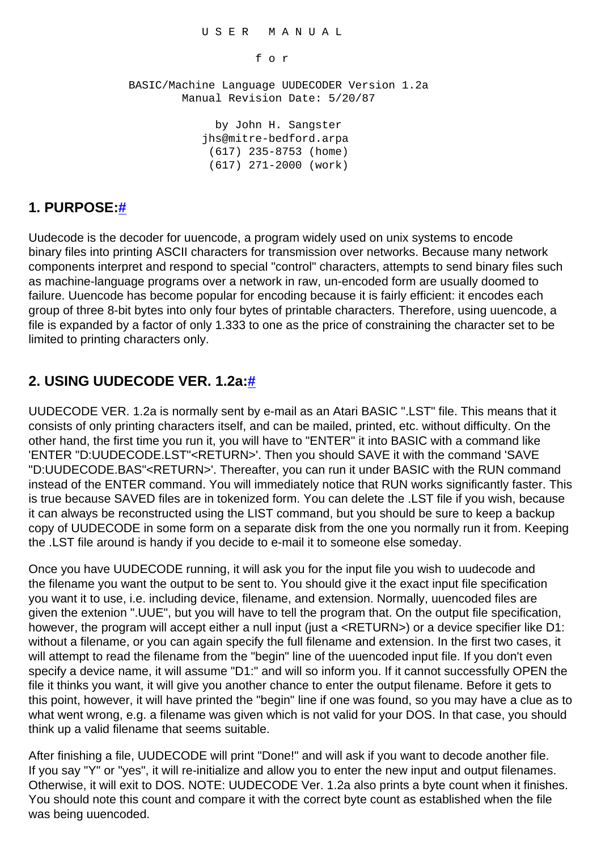#### U S E R M A N U A L

f o r

 BASIC/Machine Language UUDECODER Version 1.2a Manual Revision Date: 5/20/87

> by John H. Sangster jhs@mitre-bedford.arpa (617) 235-8753 (home) (617) 271-2000 (work)

### **1. PURPOSE[:#](http://[fd00::119]:8080/wiki/#section-UUDecoder-1.PURPOSE)**

Uudecode is the decoder for uuencode, a program widely used on unix systems to encode binary files into printing ASCII characters for transmission over networks. Because many network components interpret and respond to special "control" characters, attempts to send binary files such as machine-language programs over a network in raw, un-encoded form are usually doomed to failure. Uuencode has become popular for encoding because it is fairly efficient: it encodes each group of three 8-bit bytes into only four bytes of printable characters. Therefore, using uuencode, a file is expanded by a factor of only 1.333 to one as the price of constraining the character set to be limited to printing characters only.

#### **2. USING UUDECODE VER. 1.2a[:#](http://[fd00::119]:8080/wiki/#section-UUDecoder-2.USINGUUDECODEVER.1.2a)**

UUDECODE VER. 1.2a is normally sent by e-mail as an Atari BASIC ".LST" file. This means that it consists of only printing characters itself, and can be mailed, printed, etc. without difficulty. On the other hand, the first time you run it, you will have to "ENTER" it into BASIC with a command like 'ENTER "D:UUDECODE.LST"<RETURN>'. Then you should SAVE it with the command 'SAVE "D:UUDECODE.BAS"<RETURN>'. Thereafter, you can run it under BASIC with the RUN command instead of the ENTER command. You will immediately notice that RUN works significantly faster. This is true because SAVED files are in tokenized form. You can delete the .LST file if you wish, because it can always be reconstructed using the LIST command, but you should be sure to keep a backup copy of UUDECODE in some form on a separate disk from the one you normally run it from. Keeping the .LST file around is handy if you decide to e-mail it to someone else someday.

Once you have UUDECODE running, it will ask you for the input file you wish to uudecode and the filename you want the output to be sent to. You should give it the exact input file specification you want it to use, i.e. including device, filename, and extension. Normally, uuencoded files are given the extenion ".UUE", but you will have to tell the program that. On the output file specification, however, the program will accept either a null input (just a <RETURN>) or a device specifier like D1: without a filename, or you can again specify the full filename and extension. In the first two cases, it will attempt to read the filename from the "begin" line of the uuencoded input file. If you don't even specify a device name, it will assume "D1:" and will so inform you. If it cannot successfully OPEN the file it thinks you want, it will give you another chance to enter the output filename. Before it gets to this point, however, it will have printed the "begin" line if one was found, so you may have a clue as to what went wrong, e.g. a filename was given which is not valid for your DOS. In that case, you should think up a valid filename that seems suitable.

After finishing a file, UUDECODE will print "Done!" and will ask if you want to decode another file. If you say "Y" or "yes", it will re-initialize and allow you to enter the new input and output filenames. Otherwise, it will exit to DOS. NOTE: UUDECODE Ver. 1.2a also prints a byte count when it finishes. You should note this count and compare it with the correct byte count as established when the file was being uuencoded.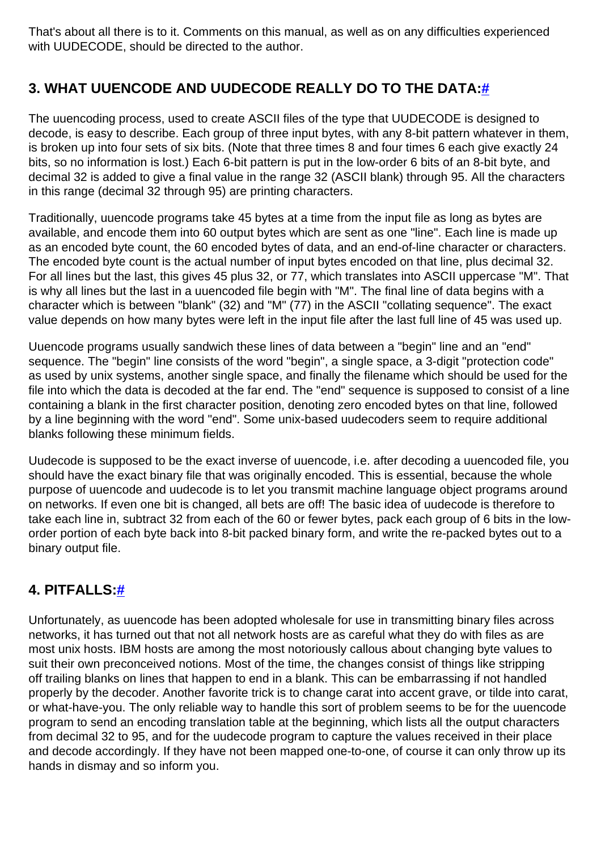That's about all there is to it. Comments on this manual, as well as on any difficulties experienced with UUDECODE, should be directed to the author.

# **3. WHAT UUENCODE AND UUDECODE REALLY DO TO THE DATA:[#](http://[fd00::119]:8080/wiki/#section-UUDecoder-3.WHATUUENCODEANDUUDECODEREALLYDOTOTHEDATA)**

The uuencoding process, used to create ASCII files of the type that UUDECODE is designed to decode, is easy to describe. Each group of three input bytes, with any 8-bit pattern whatever in them, is broken up into four sets of six bits. (Note that three times 8 and four times 6 each give exactly 24 bits, so no information is lost.) Each 6-bit pattern is put in the low-order 6 bits of an 8-bit byte, and decimal 32 is added to give a final value in the range 32 (ASCII blank) through 95. All the characters in this range (decimal 32 through 95) are printing characters.

Traditionally, uuencode programs take 45 bytes at a time from the input file as long as bytes are available, and encode them into 60 output bytes which are sent as one "line". Each line is made up as an encoded byte count, the 60 encoded bytes of data, and an end-of-line character or characters. The encoded byte count is the actual number of input bytes encoded on that line, plus decimal 32. For all lines but the last, this gives 45 plus 32, or 77, which translates into ASCII uppercase "M". That is why all lines but the last in a uuencoded file begin with "M". The final line of data begins with a character which is between "blank" (32) and "M" (77) in the ASCII "collating sequence". The exact value depends on how many bytes were left in the input file after the last full line of 45 was used up.

Uuencode programs usually sandwich these lines of data between a "begin" line and an "end" sequence. The "begin" line consists of the word "begin", a single space, a 3-digit "protection code" as used by unix systems, another single space, and finally the filename which should be used for the file into which the data is decoded at the far end. The "end" sequence is supposed to consist of a line containing a blank in the first character position, denoting zero encoded bytes on that line, followed by a line beginning with the word "end". Some unix-based uudecoders seem to require additional blanks following these minimum fields.

Uudecode is supposed to be the exact inverse of uuencode, i.e. after decoding a uuencoded file, you should have the exact binary file that was originally encoded. This is essential, because the whole purpose of uuencode and uudecode is to let you transmit machine language object programs around on networks. If even one bit is changed, all bets are off! The basic idea of uudecode is therefore to take each line in, subtract 32 from each of the 60 or fewer bytes, pack each group of 6 bits in the loworder portion of each byte back into 8-bit packed binary form, and write the re-packed bytes out to a binary output file.

## **4. PITFALLS:[#](http://[fd00::119]:8080/wiki/#section-UUDecoder-4.PITFALLS)**

Unfortunately, as uuencode has been adopted wholesale for use in transmitting binary files across networks, it has turned out that not all network hosts are as careful what they do with files as are most unix hosts. IBM hosts are among the most notoriously callous about changing byte values to suit their own preconceived notions. Most of the time, the changes consist of things like stripping off trailing blanks on lines that happen to end in a blank. This can be embarrassing if not handled properly by the decoder. Another favorite trick is to change carat into accent grave, or tilde into carat, or what-have-you. The only reliable way to handle this sort of problem seems to be for the uuencode program to send an encoding translation table at the beginning, which lists all the output characters from decimal 32 to 95, and for the uudecode program to capture the values received in their place and decode accordingly. If they have not been mapped one-to-one, of course it can only throw up its hands in dismay and so inform you.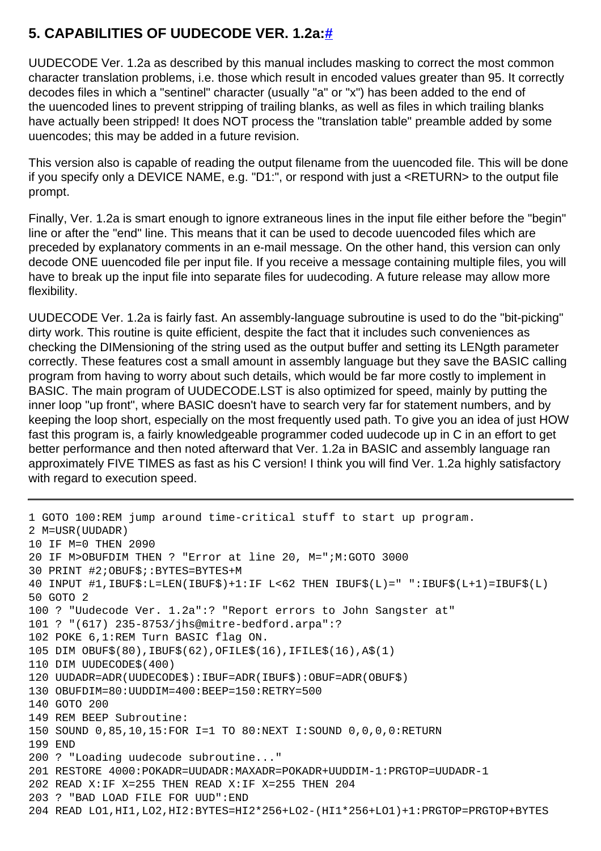# **5. CAPABILITIES OF UUDECODE VER. 1.2a:[#](http://[fd00::119]:8080/wiki/#section-UUDecoder-5.CAPABILITIESOFUUDECODEVER.1.2a)**

UUDECODE Ver. 1.2a as described by this manual includes masking to correct the most common character translation problems, i.e. those which result in encoded values greater than 95. It correctly decodes files in which a "sentinel" character (usually "a" or "x") has been added to the end of the uuencoded lines to prevent stripping of trailing blanks, as well as files in which trailing blanks have actually been stripped! It does NOT process the "translation table" preamble added by some uuencodes; this may be added in a future revision.

This version also is capable of reading the output filename from the uuencoded file. This will be done if you specify only a DEVICE NAME, e.g. "D1:", or respond with just a <RETURN> to the output file prompt.

Finally, Ver. 1.2a is smart enough to ignore extraneous lines in the input file either before the "begin" line or after the "end" line. This means that it can be used to decode uuencoded files which are preceded by explanatory comments in an e-mail message. On the other hand, this version can only decode ONE uuencoded file per input file. If you receive a message containing multiple files, you will have to break up the input file into separate files for uudecoding. A future release may allow more flexibility.

UUDECODE Ver. 1.2a is fairly fast. An assembly-language subroutine is used to do the "bit-picking" dirty work. This routine is quite efficient, despite the fact that it includes such conveniences as checking the DIMensioning of the string used as the output buffer and setting its LENgth parameter correctly. These features cost a small amount in assembly language but they save the BASIC calling program from having to worry about such details, which would be far more costly to implement in BASIC. The main program of UUDECODE.LST is also optimized for speed, mainly by putting the inner loop "up front", where BASIC doesn't have to search very far for statement numbers, and by keeping the loop short, especially on the most frequently used path. To give you an idea of just HOW fast this program is, a fairly knowledgeable programmer coded uudecode up in C in an effort to get better performance and then noted afterward that Ver. 1.2a in BASIC and assembly language ran approximately FIVE TIMES as fast as his C version! I think you will find Ver. 1.2a highly satisfactory with regard to execution speed.

```
1 GOTO 100:REM jump around time-critical stuff to start up program.
2 M=USR(UUDADR)
10 IF M=0 THEN 2090
20 IF M>OBUFDIM THEN ? "Error at line 20, M=";M:GOTO 3000
30 PRINT #2;OBUF$;:BYTES=BYTES+M
40 INPUT #1,IBUF$:L=LEN(IBUF$)+1:IF L<62 THEN IBUF$(L)=" ":IBUF$(L+1)=IBUF$(L)
50 GOTO 2
100 ? "Uudecode Ver. 1.2a":? "Report errors to John Sangster at"
101 ? "(617) 235-8753/jhs@mitre-bedford.arpa":? 
102 POKE 6,1:REM Turn BASIC flag ON.
105 DIM OBUF$(80),IBUF$(62),OFILE$(16),IFILE$(16),A$(1)
110 DIM UUDECODE$(400)
120 UUDADR=ADR(UUDECODE$):IBUF=ADR(IBUF$):OBUF=ADR(OBUF$)
130 OBUFDIM=80:UUDDIM=400:BEEP=150:RETRY=500
140 GOTO 200
149 REM BEEP Subroutine:
150 SOUND 0,85,10,15:FOR I=1 TO 80:NEXT I:SOUND 0,0,0,0:RETURN 
199 END 
200 ? "Loading uudecode subroutine..."
201 RESTORE 4000:POKADR=UUDADR:MAXADR=POKADR+UUDDIM-1:PRGTOP=UUDADR-1
202 READ X:IF X=255 THEN READ X:IF X=255 THEN 204
203 ? "BAD LOAD FILE FOR UUD":END 
204 READ LO1,HI1,LO2,HI2:BYTES=HI2*256+LO2-(HI1*256+LO1)+1:PRGTOP=PRGTOP+BYTES
```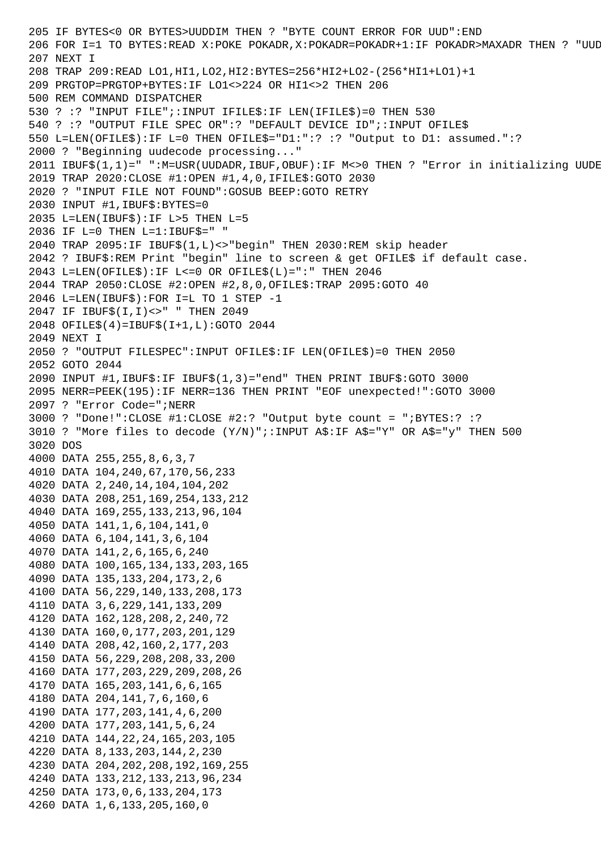```
205 IF BYTES<0 OR BYTES>UUDDIM THEN ? "BYTE COUNT ERROR FOR UUD":END 
206 FOR I=1 TO BYTES:READ X:POKE POKADR, X:POKADR=POKADR+1:IF POKADR>MAXADR THEN ? "UUD
207 NEXT I
208 TRAP 209:READ LO1,HI1,LO2,HI2:BYTES=256*HI2+LO2-(256*HI1+LO1)+1
209 PRGTOP=PRGTOP+BYTES:IF LO1<>224 OR HI1<>2 THEN 206
500 REM COMMAND DISPATCHER
530 ? :? "INPUT FILE";:INPUT IFILE$:IF LEN(IFILE$)=0 THEN 530
540 ? :? "OUTPUT FILE SPEC OR":? "DEFAULT DEVICE ID";:INPUT OFILE$
550 L=LEN(OFILE$):IF L=0 THEN OFILE$="D1:":? :? "Output to D1: assumed.":? 
2000 ? "Beginning uudecode processing..."
2011 IBUF$(1,1)=" ":M=USR(UUDADR,IBUF,OBUF):IF M<>0 THEN ? "Error in initializing UUDE
2019 TRAP 2020:CLOSE #1:OPEN #1,4,0,IFILE$:GOTO 2030
2020 ? "INPUT FILE NOT FOUND":GOSUB BEEP:GOTO RETRY
2030 INPUT #1,IBUF$:BYTES=0
2035 L=LEN(IBUF$):IF L>5 THEN L=5
2036 IF L=0 THEN L=1:IBUF$=" "
2040 TRAP 2095:IF IBUF$(1,L)<>"begin" THEN 2030:REM skip header
2042 ? IBUF$:REM Print "begin" line to screen & get OFILE$ if default case.
2043 L=LEN(OFILES):IF L<=0 OR OFILES(L)=":" THEN 2046
2044 TRAP 2050:CLOSE #2:OPEN #2,8,0,OFILE$:TRAP 2095:GOTO 40
2046 L=LEN(IBUF$):FOR I=L TO 1 STEP -1
2047 IF IBUF$(I,I)<>" " THEN 2049
2048 OFILE$(4)=IBUF$(I+1,L):GOTO 2044
2049 NEXT I
2050 ? "OUTPUT FILESPEC":INPUT OFILE$:IF LEN(OFILE$)=0 THEN 2050
2052 GOTO 2044
2090 INPUT #1,IBUF$:IF IBUF$(1,3)="end" THEN PRINT IBUF$:GOTO 3000
2095 NERR=PEEK(195):IF NERR=136 THEN PRINT "EOF unexpected!":GOTO 3000
2097 ? "Error Code=";NERR
3000 ? "Done!":CLOSE #1:CLOSE #2:? "Output byte count = ";BYTES:? :? 
3010 ? "More files to decode (Y/N)";:INPUT A$:IF A$="Y" OR A$="y" THEN 500
3020 DOS 
4000 DATA 255,255,8,6,3,7
4010 DATA 104,240,67,170,56,233
4020 DATA 2,240,14,104,104,202
4030 DATA 208,251,169,254,133,212
4040 DATA 169,255,133,213,96,104
4050 DATA 141,1,6,104,141,0
4060 DATA 6,104,141,3,6,104
4070 DATA 141,2,6,165,6,240
4080 DATA 100,165,134,133,203,165
4090 DATA 135,133,204,173,2,6
4100 DATA 56,229,140,133,208,173
4110 DATA 3,6,229,141,133,209
4120 DATA 162,128,208,2,240,72
4130 DATA 160,0,177,203,201,129
4140 DATA 208,42,160,2,177,203
4150 DATA 56,229,208,208,33,200
4160 DATA 177,203,229,209,208,26
4170 DATA 165,203,141,6,6,165
4180 DATA 204,141,7,6,160,6
4190 DATA 177,203,141,4,6,200
4200 DATA 177,203,141,5,6,24
4210 DATA 144,22,24,165,203,105
4220 DATA 8,133,203,144,2,230
4230 DATA 204,202,208,192,169,255
4240 DATA 133,212,133,213,96,234
4250 DATA 173,0,6,133,204,173
4260 DATA 1,6,133,205,160,0
```